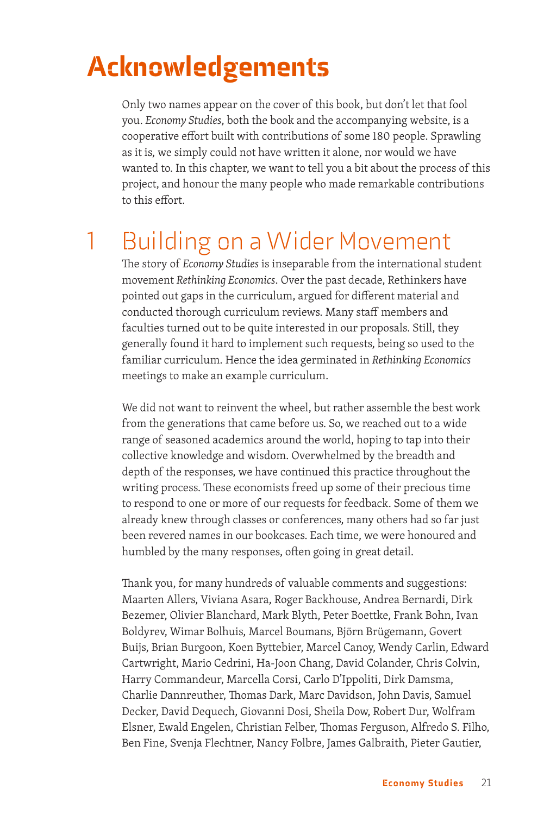## Acknowledgements

Only two names appear on the cover of this book, but don't let that fool you. *Economy Studies*, both the book and the accompanying website, is a cooperative effort built with contributions of some 180 people. Sprawling as it is, we simply could not have written it alone, nor would we have wanted to. In this chapter, we want to tell you a bit about the process of this project, and honour the many people who made remarkable contributions to this effort.

## 1 Building on a Wider Movement

The story of *Economy Studies* is inseparable from the international student movement *Rethinking Economics*. Over the past decade, Rethinkers have pointed out gaps in the curriculum, argued for different material and conducted thorough curriculum reviews. Many staff members and faculties turned out to be quite interested in our proposals. Still, they generally found it hard to implement such requests, being so used to the familiar curriculum. Hence the idea germinated in *Rethinking Economics* meetings to make an example curriculum.

We did not want to reinvent the wheel, but rather assemble the best work from the generations that came before us. So, we reached out to a wide range of seasoned academics around the world, hoping to tap into their collective knowledge and wisdom. Overwhelmed by the breadth and depth of the responses, we have continued this practice throughout the writing process. These economists freed up some of their precious time to respond to one or more of our requests for feedback. Some of them we already knew through classes or conferences, many others had so far just been revered names in our bookcases. Each time, we were honoured and humbled by the many responses, often going in great detail.

Thank you, for many hundreds of valuable comments and suggestions: Maarten Allers, Viviana Asara, Roger Backhouse, Andrea Bernardi, Dirk Bezemer, Olivier Blanchard, Mark Blyth, Peter Boettke, Frank Bohn, Ivan Boldyrev, Wimar Bolhuis, Marcel Boumans, Björn Brügemann, Govert Buijs, Brian Burgoon, Koen Byttebier, Marcel Canoy, Wendy Carlin, Edward Cartwright, Mario Cedrini, Ha-Joon Chang, David Colander, Chris Colvin, Harry Commandeur, Marcella Corsi, Carlo D'Ippoliti, Dirk Damsma, Charlie Dannreuther, Thomas Dark, Marc Davidson, John Davis, Samuel Decker, David Dequech, Giovanni Dosi, Sheila Dow, Robert Dur, Wolfram Elsner, Ewald Engelen, Christian Felber, Thomas Ferguson, Alfredo S. Filho, Ben Fine, Svenja Flechtner, Nancy Folbre, James Galbraith, Pieter Gautier,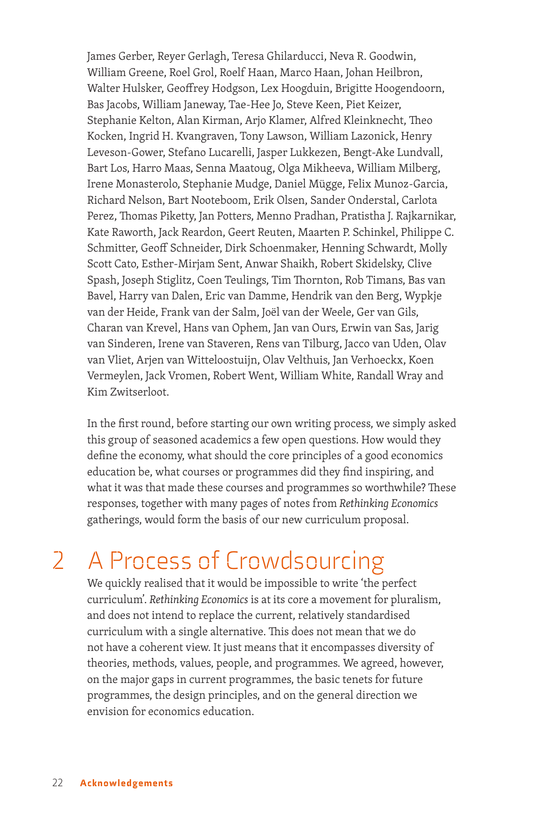James Gerber, Reyer Gerlagh, Teresa Ghilarducci, Neva R. Goodwin, William Greene, Roel Grol, Roelf Haan, Marco Haan, Johan Heilbron, Walter Hulsker, Geoffrey Hodgson, Lex Hoogduin, Brigitte Hoogendoorn, Bas Jacobs, William Janeway, Tae-Hee Jo, Steve Keen, Piet Keizer, Stephanie Kelton, Alan Kirman, Arjo Klamer, Alfred Kleinknecht, Theo Kocken, Ingrid H. Kvangraven, Tony Lawson, William Lazonick, Henry Leveson-Gower, Stefano Lucarelli, Jasper Lukkezen, Bengt-Ake Lundvall, Bart Los, Harro Maas, Senna Maatoug, Olga Mikheeva, William Milberg, Irene Monasterolo, Stephanie Mudge, Daniel Mügge, Felix Munoz-Garcia, Richard Nelson, Bart Nooteboom, Erik Olsen, Sander Onderstal, Carlota Perez, Thomas Piketty, Jan Potters, Menno Pradhan, Pratistha J. Rajkarnikar, Kate Raworth, Jack Reardon, Geert Reuten, Maarten P. Schinkel, Philippe C. Schmitter, Geoff Schneider, Dirk Schoenmaker, Henning Schwardt, Molly Scott Cato, Esther-Mirjam Sent, Anwar Shaikh, Robert Skidelsky, Clive Spash, Joseph Stiglitz, Coen Teulings, Tim Thornton, Rob Timans, Bas van Bavel, Harry van Dalen, Eric van Damme, Hendrik van den Berg, Wypkje van der Heide, Frank van der Salm, Joël van der Weele, Ger van Gils, Charan van Krevel, Hans van Ophem, Jan van Ours, Erwin van Sas, Jarig van Sinderen, Irene van Staveren, Rens van Tilburg, Jacco van Uden, Olav van Vliet, Arjen van Witteloostuijn, Olav Velthuis, Jan Verhoeckx, Koen Vermeylen, Jack Vromen, Robert Went, William White, Randall Wray and Kim Zwitserloot.

In the first round, before starting our own writing process, we simply asked this group of seasoned academics a few open questions. How would they define the economy, what should the core principles of a good economics education be, what courses or programmes did they find inspiring, and what it was that made these courses and programmes so worthwhile? These responses, together with many pages of notes from *Rethinking Economics*  gatherings, would form the basis of our new curriculum proposal.

## 2 A Process of Crowdsourcing

We quickly realised that it would be impossible to write 'the perfect curriculum'. *Rethinking Economics* is at its core a movement for pluralism, and does not intend to replace the current, relatively standardised curriculum with a single alternative. This does not mean that we do not have a coherent view. It just means that it encompasses diversity of theories, methods, values, people, and programmes. We agreed, however, on the major gaps in current programmes, the basic tenets for future programmes, the design principles, and on the general direction we envision for economics education.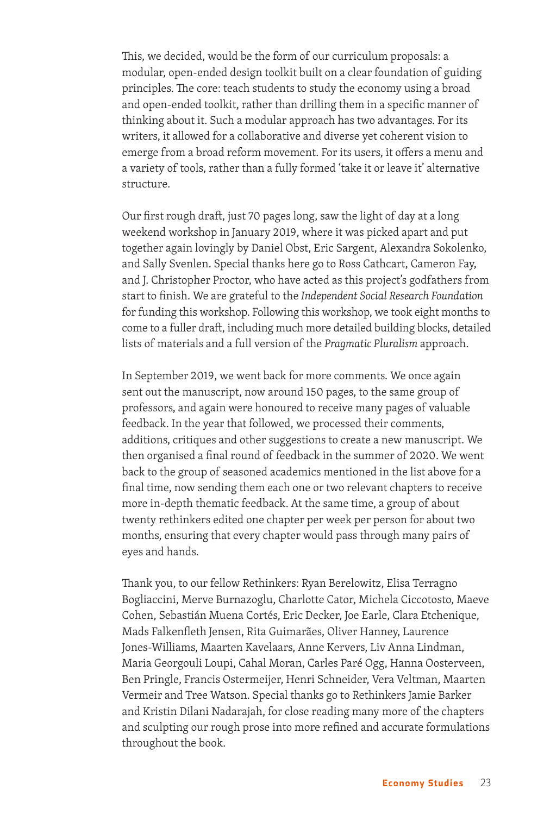This, we decided, would be the form of our curriculum proposals: a modular, open-ended design toolkit built on a clear foundation of guiding principles. The core: teach students to study the economy using a broad and open-ended toolkit, rather than drilling them in a specific manner of thinking about it. Such a modular approach has two advantages. For its writers, it allowed for a collaborative and diverse yet coherent vision to emerge from a broad reform movement. For its users, it offers a menu and a variety of tools, rather than a fully formed 'take it or leave it' alternative structure.

Our first rough draft, just 70 pages long, saw the light of day at a long weekend workshop in January 2019, where it was picked apart and put together again lovingly by Daniel Obst, Eric Sargent, Alexandra Sokolenko, and Sally Svenlen. Special thanks here go to Ross Cathcart, Cameron Fay, and J. Christopher Proctor, who have acted as this project's godfathers from start to finish. We are grateful to the *Independent Social Research Foundation* for funding this workshop. Following this workshop, we took eight months to come to a fuller draft, including much more detailed building blocks, detailed lists of materials and a full version of the *Pragmatic Pluralism* approach.

In September 2019, we went back for more comments. We once again sent out the manuscript, now around 150 pages, to the same group of professors, and again were honoured to receive many pages of valuable feedback. In the year that followed, we processed their comments, additions, critiques and other suggestions to create a new manuscript. We then organised a final round of feedback in the summer of 2020. We went back to the group of seasoned academics mentioned in the list above for a final time, now sending them each one or two relevant chapters to receive more in-depth thematic feedback. At the same time, a group of about twenty rethinkers edited one chapter per week per person for about two months, ensuring that every chapter would pass through many pairs of eyes and hands.

Thank you, to our fellow Rethinkers: Ryan Berelowitz, Elisa Terragno Bogliaccini, Merve Burnazoglu, Charlotte Cator, Michela Ciccotosto, Maeve Cohen, Sebastián Muena Cortés, Eric Decker, Joe Earle, Clara Etchenique, Mads Falkenfleth Jensen, Rita Guimarães, Oliver Hanney, Laurence Jones-Williams, Maarten Kavelaars, Anne Kervers, Liv Anna Lindman, Maria Georgouli Loupi, Cahal Moran, Carles Paré Ogg, Hanna Oosterveen, Ben Pringle, Francis Ostermeijer, Henri Schneider, Vera Veltman, Maarten Vermeir and Tree Watson. Special thanks go to Rethinkers Jamie Barker and Kristin Dilani Nadarajah, for close reading many more of the chapters and sculpting our rough prose into more refined and accurate formulations throughout the book.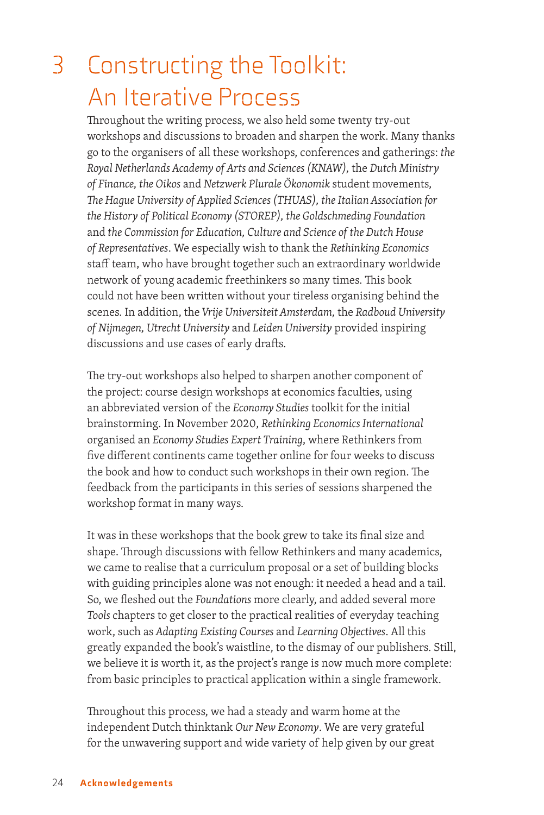## 3 Constructing the Toolkit: An Iterative Process

Throughout the writing process, we also held some twenty try-out workshops and discussions to broaden and sharpen the work. Many thanks go to the organisers of all these workshops, conferences and gatherings: *the Royal Netherlands Academy of Arts and Sciences (KNAW),* the *Dutch Ministry of Finance, the Oikos* and *Netzwerk Plurale Ökonomik* student movements*, The Hague University of Applied Sciences (THUAS), the Italian Association for the History of Political Economy (STOREP), the Goldschmeding Foundation*  and *the Commission for Education, Culture and Science of the Dutch House of Representatives*. We especially wish to thank the *Rethinking Economics* staff team, who have brought together such an extraordinary worldwide network of young academic freethinkers so many times. This book could not have been written without your tireless organising behind the scenes. In addition, the *Vrije Universiteit Amsterdam,* the *Radboud University of Nijmegen, Utrecht University* and *Leiden University* provided inspiring discussions and use cases of early drafts.

The try-out workshops also helped to sharpen another component of the project: course design workshops at economics faculties, using an abbreviated version of the *Economy Studies* toolkit for the initial brainstorming. In November 2020, *Rethinking Economics International* organised an *Economy Studies Expert Training*, where Rethinkers from five different continents came together online for four weeks to discuss the book and how to conduct such workshops in their own region. The feedback from the participants in this series of sessions sharpened the workshop format in many ways.

It was in these workshops that the book grew to take its final size and shape. Through discussions with fellow Rethinkers and many academics, we came to realise that a curriculum proposal or a set of building blocks with guiding principles alone was not enough: it needed a head and a tail. So, we fleshed out the *Foundations* more clearly, and added several more *Tools* chapters to get closer to the practical realities of everyday teaching work, such as *Adapting Existing Courses* and *Learning Objectives*. All this greatly expanded the book's waistline, to the dismay of our publishers. Still, we believe it is worth it, as the project's range is now much more complete: from basic principles to practical application within a single framework.

Throughout this process, we had a steady and warm home at the independent Dutch thinktank *Our New Economy*. We are very grateful for the unwavering support and wide variety of help given by our great